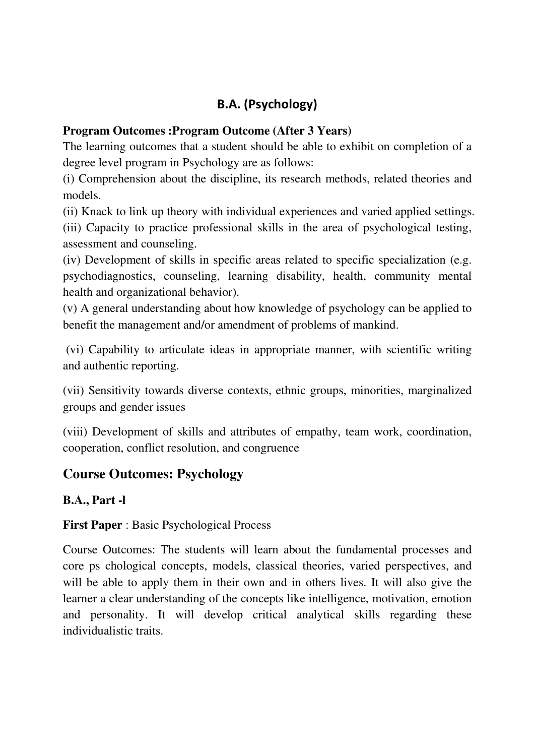# **B.A. (Psychology)**

## **Program Outcomes :Program Outcome (After 3 Years)**

The learning outcomes that a student should be able to exhibit on completion of a degree level program in Psychology are as follows:

(i) Comprehension about the discipline, its research methods, related theories and models.

(ii) Knack to link up theory with individual experiences and varied applied settings.

(iii) Capacity to practice professional skills in the area of psychological testing, assessment and counseling.

(iv) Development of skills in specific areas related to specific specialization (e.g. psychodiagnostics, counseling, learning disability, health, community mental health and organizational behavior).

(v) A general understanding about how knowledge of psychology can be applied to benefit the management and/or amendment of problems of mankind.

 (vi) Capability to articulate ideas in appropriate manner, with scientific writing and authentic reporting.

(vii) Sensitivity towards diverse contexts, ethnic groups, minorities, marginalized groups and gender issues

(viii) Development of skills and attributes of empathy, team work, coordination, cooperation, conflict resolution, and congruence

# **Course Outcomes: Psychology**

## **B.A., Part -l**

**First Paper** : Basic Psychological Process

Course Outcomes: The students will learn about the fundamental processes and core ps chological concepts, models, classical theories, varied perspectives, and will be able to apply them in their own and in others lives. It will also give the learner a clear understanding of the concepts like intelligence, motivation, emotion and personality. It will develop critical analytical skills regarding these individualistic traits.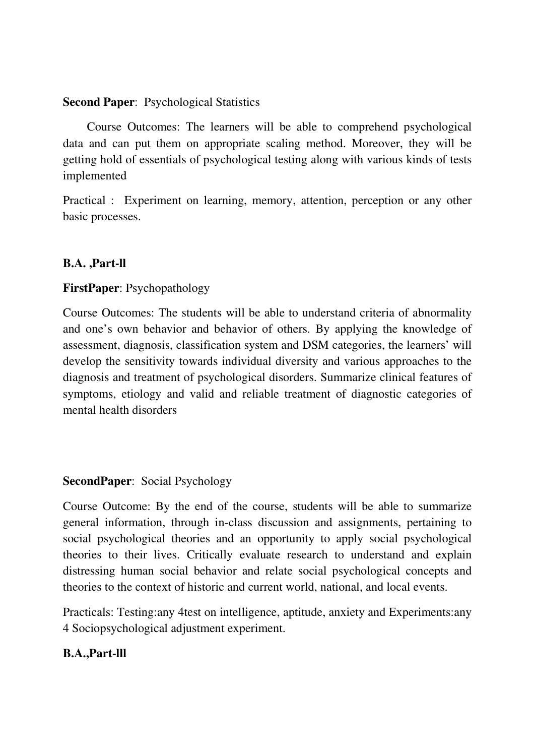#### **Second Paper**: Psychological Statistics

 Course Outcomes: The learners will be able to comprehend psychological data and can put them on appropriate scaling method. Moreover, they will be getting hold of essentials of psychological testing along with various kinds of tests implemented

Practical : Experiment on learning, memory, attention, perception or any other basic processes.

#### **B.A. ,Part-ll**

#### **FirstPaper**: Psychopathology

Course Outcomes: The students will be able to understand criteria of abnormality and one's own behavior and behavior of others. By applying the knowledge of assessment, diagnosis, classification system and DSM categories, the learners' will develop the sensitivity towards individual diversity and various approaches to the diagnosis and treatment of psychological disorders. Summarize clinical features of symptoms, etiology and valid and reliable treatment of diagnostic categories of mental health disorders

#### **SecondPaper**: Social Psychology

Course Outcome: By the end of the course, students will be able to summarize general information, through in-class discussion and assignments, pertaining to social psychological theories and an opportunity to apply social psychological theories to their lives. Critically evaluate research to understand and explain distressing human social behavior and relate social psychological concepts and theories to the context of historic and current world, national, and local events.

Practicals: Testing:any 4test on intelligence, aptitude, anxiety and Experiments:any 4 Sociopsychological adjustment experiment.

#### **B.A.,Part-lll**